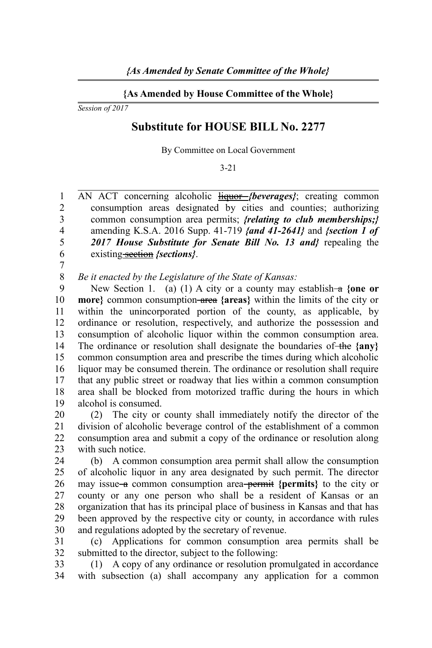## **{As Amended by House Committee of the Whole}**

*Session of 2017*

## **Substitute for HOUSE BILL No. 2277**

By Committee on Local Government

3-21

AN ACT concerning alcoholic **liquor** *{beverages}*; creating common consumption areas designated by cities and counties; authorizing common consumption area permits; *{relating to club memberships;}* amending K.S.A. 2016 Supp. 41-719 *{and 41-2641}* and *{section 1 of 2017 House Substitute for Senate Bill No. 13 and}* repealing the existing section *{sections}*. 1  $\mathfrak{D}$ 3 4 5 6 7

*Be it enacted by the Legislature of the State of Kansas:* 8

New Section 1. (a) (1) A city or a county may establish- $\alpha$  {one or **more}** common consumption area **{areas}** within the limits of the city or within the unincorporated portion of the county, as applicable, by ordinance or resolution, respectively, and authorize the possession and consumption of alcoholic liquor within the common consumption area. The ordinance or resolution shall designate the boundaries of the {any} common consumption area and prescribe the times during which alcoholic liquor may be consumed therein. The ordinance or resolution shall require that any public street or roadway that lies within a common consumption area shall be blocked from motorized traffic during the hours in which alcohol is consumed. 9 10 11 12 13 14 15 16 17 18 19

(2) The city or county shall immediately notify the director of the division of alcoholic beverage control of the establishment of a common consumption area and submit a copy of the ordinance or resolution along with such notice. 20 21 22 23

(b) A common consumption area permit shall allow the consumption of alcoholic liquor in any area designated by such permit. The director may issue–a common consumption area–permit {permits} to the city or county or any one person who shall be a resident of Kansas or an organization that has its principal place of business in Kansas and that has been approved by the respective city or county, in accordance with rules and regulations adopted by the secretary of revenue.  $24$ 25 26 27 28 29 30

(c) Applications for common consumption area permits shall be submitted to the director, subject to the following: 31 32

(1) A copy of any ordinance or resolution promulgated in accordance with subsection (a) shall accompany any application for a common 33 34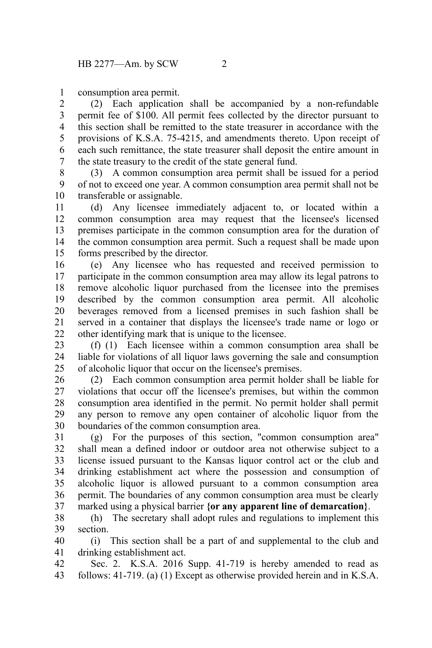consumption area permit. 1

(2) Each application shall be accompanied by a non-refundable permit fee of \$100. All permit fees collected by the director pursuant to this section shall be remitted to the state treasurer in accordance with the provisions of K.S.A. 75-4215, and amendments thereto. Upon receipt of each such remittance, the state treasurer shall deposit the entire amount in the state treasury to the credit of the state general fund. 2 3 4 5 6 7

(3) A common consumption area permit shall be issued for a period of not to exceed one year. A common consumption area permit shall not be transferable or assignable. 8 9 10

(d) Any licensee immediately adjacent to, or located within a common consumption area may request that the licensee's licensed premises participate in the common consumption area for the duration of the common consumption area permit. Such a request shall be made upon forms prescribed by the director. 11 12 13 14 15

(e) Any licensee who has requested and received permission to participate in the common consumption area may allow its legal patrons to remove alcoholic liquor purchased from the licensee into the premises described by the common consumption area permit. All alcoholic beverages removed from a licensed premises in such fashion shall be served in a container that displays the licensee's trade name or logo or other identifying mark that is unique to the licensee. 16 17 18 19 20 21  $22$ 

(f) (1) Each licensee within a common consumption area shall be liable for violations of all liquor laws governing the sale and consumption of alcoholic liquor that occur on the licensee's premises. 23 24 25

(2) Each common consumption area permit holder shall be liable for violations that occur off the licensee's premises, but within the common consumption area identified in the permit. No permit holder shall permit any person to remove any open container of alcoholic liquor from the boundaries of the common consumption area. 26 27 28 29 30

(g) For the purposes of this section, "common consumption area" shall mean a defined indoor or outdoor area not otherwise subject to a license issued pursuant to the Kansas liquor control act or the club and drinking establishment act where the possession and consumption of alcoholic liquor is allowed pursuant to a common consumption area permit. The boundaries of any common consumption area must be clearly marked using a physical barrier **{or any apparent line of demarcation}**. 31 32 33 34 35 36 37

(h) The secretary shall adopt rules and regulations to implement this section. 38 39

(i) This section shall be a part of and supplemental to the club and drinking establishment act. 40 41

Sec. 2. K.S.A. 2016 Supp. 41-719 is hereby amended to read as follows: 41-719. (a) (1) Except as otherwise provided herein and in K.S.A. 42 43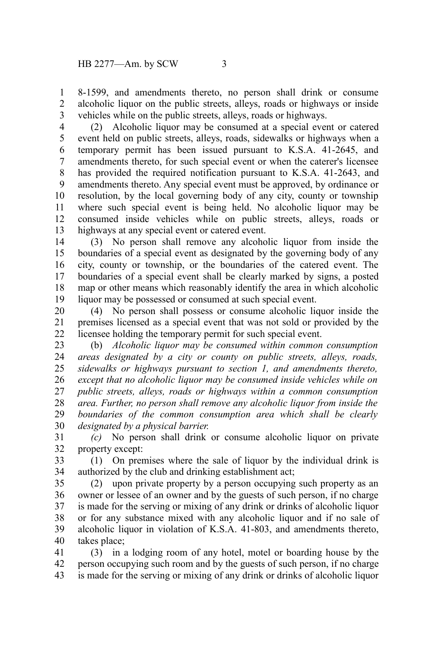8-1599, and amendments thereto, no person shall drink or consume alcoholic liquor on the public streets, alleys, roads or highways or inside vehicles while on the public streets, alleys, roads or highways. 1 2 3

(2) Alcoholic liquor may be consumed at a special event or catered event held on public streets, alleys, roads, sidewalks or highways when a temporary permit has been issued pursuant to K.S.A. 41-2645, and amendments thereto, for such special event or when the caterer's licensee has provided the required notification pursuant to K.S.A. 41-2643, and amendments thereto. Any special event must be approved, by ordinance or resolution, by the local governing body of any city, county or township where such special event is being held. No alcoholic liquor may be consumed inside vehicles while on public streets, alleys, roads or highways at any special event or catered event. 4 5 6 7 8 9 10 11 12 13

(3) No person shall remove any alcoholic liquor from inside the boundaries of a special event as designated by the governing body of any city, county or township, or the boundaries of the catered event. The boundaries of a special event shall be clearly marked by signs, a posted map or other means which reasonably identify the area in which alcoholic liquor may be possessed or consumed at such special event. 14 15 16 17 18 19

(4) No person shall possess or consume alcoholic liquor inside the premises licensed as a special event that was not sold or provided by the licensee holding the temporary permit for such special event. 20 21 22

(b) *Alcoholic liquor may be consumed within common consumption areas designated by a city or county on public streets, alleys, roads, sidewalks or highways pursuant to section 1, and amendments thereto, except that no alcoholic liquor may be consumed inside vehicles while on public streets, alleys, roads or highways within a common consumption area. Further, no person shall remove any alcoholic liquor from inside the boundaries of the common consumption area which shall be clearly designated by a physical barrier.* 23 24 25 26 27 28 29 30

*(c)* No person shall drink or consume alcoholic liquor on private property except: 31 32

(1) On premises where the sale of liquor by the individual drink is authorized by the club and drinking establishment act; 33 34

(2) upon private property by a person occupying such property as an owner or lessee of an owner and by the guests of such person, if no charge is made for the serving or mixing of any drink or drinks of alcoholic liquor or for any substance mixed with any alcoholic liquor and if no sale of alcoholic liquor in violation of K.S.A. 41-803, and amendments thereto, takes place; 35 36 37 38 39 40

(3) in a lodging room of any hotel, motel or boarding house by the person occupying such room and by the guests of such person, if no charge is made for the serving or mixing of any drink or drinks of alcoholic liquor 41 42 43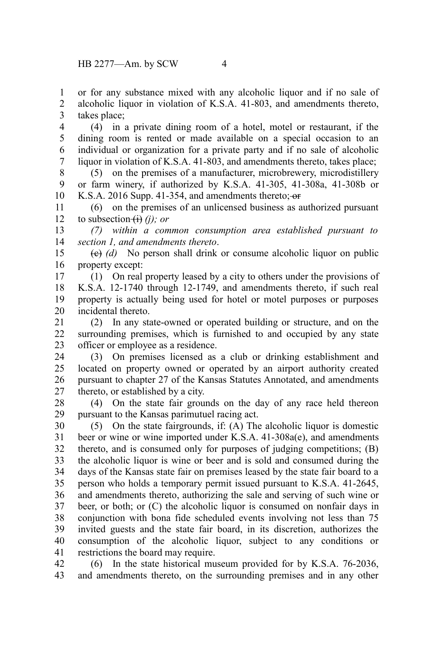or for any substance mixed with any alcoholic liquor and if no sale of alcoholic liquor in violation of K.S.A. 41-803, and amendments thereto, takes place; 1 2 3

(4) in a private dining room of a hotel, motel or restaurant, if the dining room is rented or made available on a special occasion to an individual or organization for a private party and if no sale of alcoholic liquor in violation of K.S.A. 41-803, and amendments thereto, takes place; 4 5 6 7

(5) on the premises of a manufacturer, microbrewery, microdistillery or farm winery, if authorized by K.S.A. 41-305, 41-308a, 41-308b or K.S.A. 2016 Supp. 41-354, and amendments thereto; or 8 9 10

(6) on the premises of an unlicensed business as authorized pursuant to subsection  $\overrightarrow{H}$  *(i)*; *or* 11 12

*(7) within a common consumption area established pursuant to section 1, and amendments thereto*. 13 14

(c) *(d)* No person shall drink or consume alcoholic liquor on public property except: 15 16

(1) On real property leased by a city to others under the provisions of K.S.A. 12-1740 through 12-1749, and amendments thereto, if such real property is actually being used for hotel or motel purposes or purposes incidental thereto. 17 18 19 20

(2) In any state-owned or operated building or structure, and on the surrounding premises, which is furnished to and occupied by any state officer or employee as a residence. 21 22 23

(3) On premises licensed as a club or drinking establishment and located on property owned or operated by an airport authority created pursuant to chapter 27 of the Kansas Statutes Annotated, and amendments thereto, or established by a city. 24 25 26 27

(4) On the state fair grounds on the day of any race held thereon pursuant to the Kansas parimutuel racing act. 28 29

(5) On the state fairgrounds, if: (A) The alcoholic liquor is domestic beer or wine or wine imported under K.S.A. 41-308a(e), and amendments thereto, and is consumed only for purposes of judging competitions; (B) the alcoholic liquor is wine or beer and is sold and consumed during the days of the Kansas state fair on premises leased by the state fair board to a person who holds a temporary permit issued pursuant to K.S.A. 41-2645, and amendments thereto, authorizing the sale and serving of such wine or beer, or both; or (C) the alcoholic liquor is consumed on nonfair days in conjunction with bona fide scheduled events involving not less than 75 invited guests and the state fair board, in its discretion, authorizes the consumption of the alcoholic liquor, subject to any conditions or restrictions the board may require. 30 31 32 33 34 35 36 37 38 39 40 41

(6) In the state historical museum provided for by K.S.A. 76-2036, and amendments thereto, on the surrounding premises and in any other 42 43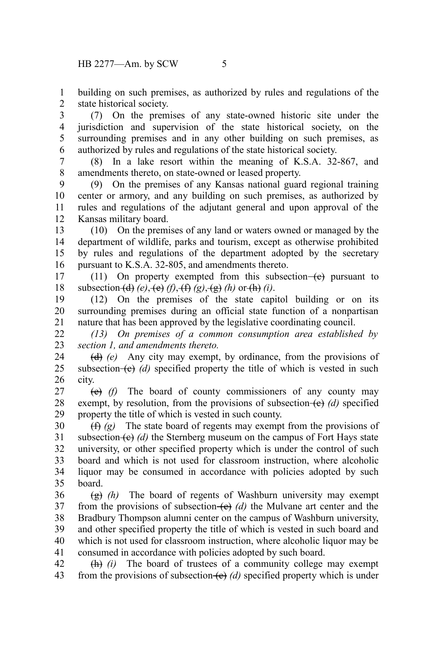building on such premises, as authorized by rules and regulations of the state historical society. 1 2

(7) On the premises of any state-owned historic site under the jurisdiction and supervision of the state historical society, on the surrounding premises and in any other building on such premises, as authorized by rules and regulations of the state historical society. 3 4 5 6

(8) In a lake resort within the meaning of K.S.A. 32-867, and amendments thereto, on state-owned or leased property. 7 8

(9) On the premises of any Kansas national guard regional training center or armory, and any building on such premises, as authorized by rules and regulations of the adjutant general and upon approval of the Kansas military board. 9 10 11 12

(10) On the premises of any land or waters owned or managed by the department of wildlife, parks and tourism, except as otherwise prohibited by rules and regulations of the department adopted by the secretary pursuant to K.S.A. 32-805, and amendments thereto. 13 14 15 16

(11) On property exempted from this subsection $-(e)$  pursuant to subsection  $\left(\frac{d}{d}\right)(e)$ ,  $\left(\frac{e}{f}\right)(f)$ ,  $\left(\frac{f}{f}\right)(g)$ ,  $\left(\frac{g}{g}\right)(h)$  or  $\left(\frac{h}{g}\right)(i)$ . 17 18

(12) On the premises of the state capitol building or on its surrounding premises during an official state function of a nonpartisan nature that has been approved by the legislative coordinating council. 19 20 21

*(13) On premises of a common consumption area established by section 1, and amendments thereto.* 22 23

(d) *(e)* Any city may exempt, by ordinance, from the provisions of subsection  $(e)$  (d) specified property the title of which is vested in such city. 24 25 26

(e) *(f)* The board of county commissioners of any county may exempt, by resolution, from the provisions of subsection  $(e)$  *(d)* specified property the title of which is vested in such county. 27 28 29

(f) *(g)* The state board of regents may exempt from the provisions of subsection  $\left\{ \mathbf{e} \right\}$  *(d)* the Sternberg museum on the campus of Fort Hays state university, or other specified property which is under the control of such board and which is not used for classroom instruction, where alcoholic liquor may be consumed in accordance with policies adopted by such board. 30 31 32 33 34 35

(g) *(h)* The board of regents of Washburn university may exempt from the provisions of subsection  $\left(\frac{e}{f}\right)$  (d) the Mulvane art center and the Bradbury Thompson alumni center on the campus of Washburn university, and other specified property the title of which is vested in such board and which is not used for classroom instruction, where alcoholic liquor may be consumed in accordance with policies adopted by such board. 36 37 38 39 40 41

(h) *(i)* The board of trustees of a community college may exempt from the provisions of subsection (c) *(d)* specified property which is under 42 43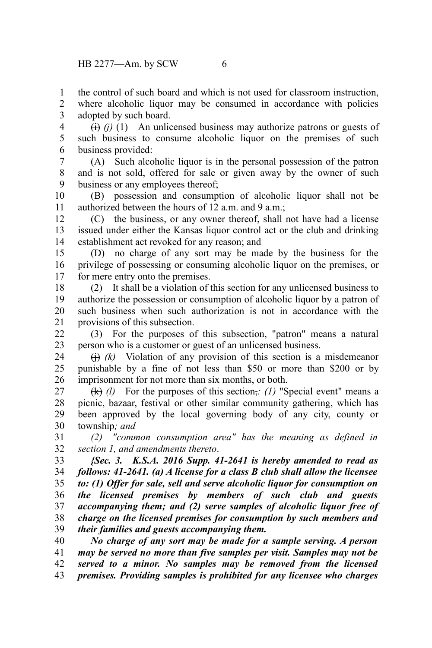the control of such board and which is not used for classroom instruction, 1

where alcoholic liquor may be consumed in accordance with policies adopted by such board. 2 3 4

 $\overrightarrow{(i)}$  (i) (1) An unlicensed business may authorize patrons or guests of such business to consume alcoholic liquor on the premises of such business provided:

5 6

(A) Such alcoholic liquor is in the personal possession of the patron and is not sold, offered for sale or given away by the owner of such business or any employees thereof; 7 8 9

(B) possession and consumption of alcoholic liquor shall not be authorized between the hours of 12 a.m. and 9 a.m.; 10 11

(C) the business, or any owner thereof, shall not have had a license issued under either the Kansas liquor control act or the club and drinking establishment act revoked for any reason; and 12 13 14

(D) no charge of any sort may be made by the business for the privilege of possessing or consuming alcoholic liquor on the premises, or for mere entry onto the premises. 15 16 17

(2) It shall be a violation of this section for any unlicensed business to authorize the possession or consumption of alcoholic liquor by a patron of such business when such authorization is not in accordance with the provisions of this subsection. 18 19 20 21

(3) For the purposes of this subsection, "patron" means a natural person who is a customer or guest of an unlicensed business. 22 23

 $(h)$  (k) Violation of any provision of this section is a misdemeanor punishable by a fine of not less than \$50 or more than \$200 or by imprisonment for not more than six months, or both. 24 25 26

(k) *(l)* For the purposes of this section,*: (1)* "Special event" means a picnic, bazaar, festival or other similar community gathering, which has been approved by the local governing body of any city, county or township*; and* 27 28 29 30

*(2) "common consumption area" has the meaning as defined in section 1, and amendments thereto*. 31 32

*{Sec. 3. K.S.A. 2016 Supp. 41-2641 is hereby amended to read as follows: 41-2641. (a) A license for a class B club shall allow the licensee to: (1) Offer for sale, sell and serve alcoholic liquor for consumption on the licensed premises by members of such club and guests accompanying them; and (2) serve samples of alcoholic liquor free of charge on the licensed premises for consumption by such members and their families and guests accompanying them.* 33 34 35 36 37 38 39

*No charge of any sort may be made for a sample serving. A person may be served no more than five samples per visit. Samples may not be served to a minor. No samples may be removed from the licensed premises. Providing samples is prohibited for any licensee who charges* 40 41 42 43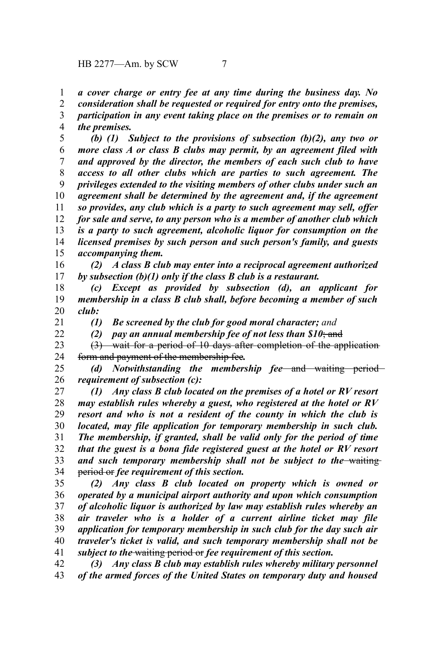*a cover charge or entry fee at any time during the business day. No* 1

*consideration shall be requested or required for entry onto the premises, participation in any event taking place on the premises or to remain on* 2 3 4

*the premises.*

*(b) (1) Subject to the provisions of subsection (b)(2), any two or more class A or class B clubs may permit, by an agreement filed with and approved by the director, the members of each such club to have access to all other clubs which are parties to such agreement. The privileges extended to the visiting members of other clubs under such an agreement shall be determined by the agreement and, if the agreement so provides, any club which is a party to such agreement may sell, offer for sale and serve, to any person who is a member of another club which is a party to such agreement, alcoholic liquor for consumption on the licensed premises by such person and such person's family, and guests accompanying them.* 5 6 7 8 9 10 11 12 13 14 15

*(2) A class B club may enter into a reciprocal agreement authorized by subsection (b)(1) only if the class B club is a restaurant.* 16 17

*(c) Except as provided by subsection (d), an applicant for membership in a class B club shall, before becoming a member of such club:* 18 19 20

21 22

*(1) Be screened by the club for good moral character; and*

*(2) pay an annual membership fee of not less than \$10*; and

(3) wait for a period of 10 days after completion of the application form and payment of the membership fee*.* 23 24

*(d) Notwithstanding the membership fee* and waiting period *requirement of subsection (c):* 25 26

*(1) Any class B club located on the premises of a hotel or RV resort may establish rules whereby a guest, who registered at the hotel or RV resort and who is not a resident of the county in which the club is located, may file application for temporary membership in such club. The membership, if granted, shall be valid only for the period of time that the guest is a bona fide registered guest at the hotel or RV resort* and such temporary membership shall not be subject to the waiting period or *fee requirement of this section.* 27 28 29 30 31 32 33 34

*(2) Any class B club located on property which is owned or operated by a municipal airport authority and upon which consumption of alcoholic liquor is authorized by law may establish rules whereby an air traveler who is a holder of a current airline ticket may file application for temporary membership in such club for the day such air traveler's ticket is valid, and such temporary membership shall not be subject to the* waiting period or *fee requirement of this section.* 35 36 37 38 39 40 41

*(3) Any class B club may establish rules whereby military personnel of the armed forces of the United States on temporary duty and housed* 42 43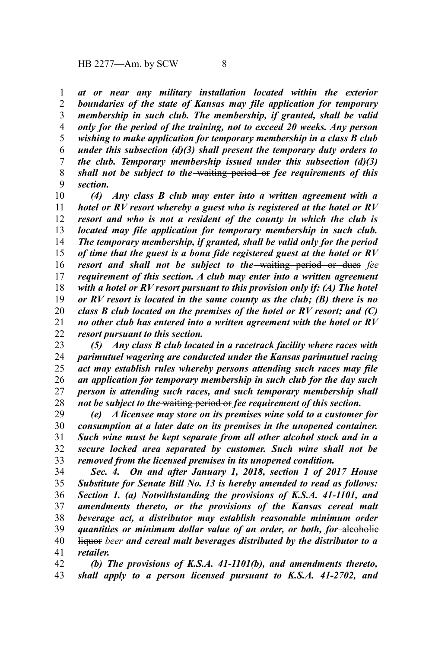*at or near any military installation located within the exterior boundaries of the state of Kansas may file application for temporary membership in such club. The membership, if granted, shall be valid only for the period of the training, not to exceed 20 weeks. Any person wishing to make application for temporary membership in a class B club under this subsection (d)(3) shall present the temporary duty orders to the club. Temporary membership issued under this subsection (d)(3) shall not be subject to the* waiting period or *fee requirements of this section.* 1 2 3 4 5 6 7 8 9

*(4) Any class B club may enter into a written agreement with a hotel or RV resort whereby a guest who is registered at the hotel or RV resort and who is not a resident of the county in which the club is located may file application for temporary membership in such club. The temporary membership, if granted, shall be valid only for the period of time that the guest is a bona fide registered guest at the hotel or RV resort and shall not be subject to the* waiting period or dues *fee requirement of this section. A club may enter into a written agreement with a hotel or RV resort pursuant to this provision only if: (A) The hotel or RV resort is located in the same county as the club; (B) there is no class B club located on the premises of the hotel or RV resort; and (C) no other club has entered into a written agreement with the hotel or RV resort pursuant to this section.* 10 11 12 13 14 15 16 17 18 19 20 21 22

*(5) Any class B club located in a racetrack facility where races with parimutuel wagering are conducted under the Kansas parimutuel racing act may establish rules whereby persons attending such races may file an application for temporary membership in such club for the day such person is attending such races, and such temporary membership shall not be subject to the* waiting period or *fee requirement of this section.* 23 24 25 26 27 28

*(e) A licensee may store on its premises wine sold to a customer for consumption at a later date on its premises in the unopened container. Such wine must be kept separate from all other alcohol stock and in a secure locked area separated by customer. Such wine shall not be removed from the licensed premises in its unopened condition.* 29 30 31 32 33

*Sec. 4. On and after January 1, 2018, section 1 of 2017 House Substitute for Senate Bill No. 13 is hereby amended to read as follows: Section 1. (a) Notwithstanding the provisions of K.S.A. 41-1101, and amendments thereto, or the provisions of the Kansas cereal malt beverage act, a distributor may establish reasonable minimum order quantities or minimum dollar value of an order, or both, for* alcoholic liquor *beer and cereal malt beverages distributed by the distributor to a retailer.* 34 35 36 37 38 39 40 41

*(b) The provisions of K.S.A. 41-1101(b), and amendments thereto, shall apply to a person licensed pursuant to K.S.A. 41-2702, and* 42 43